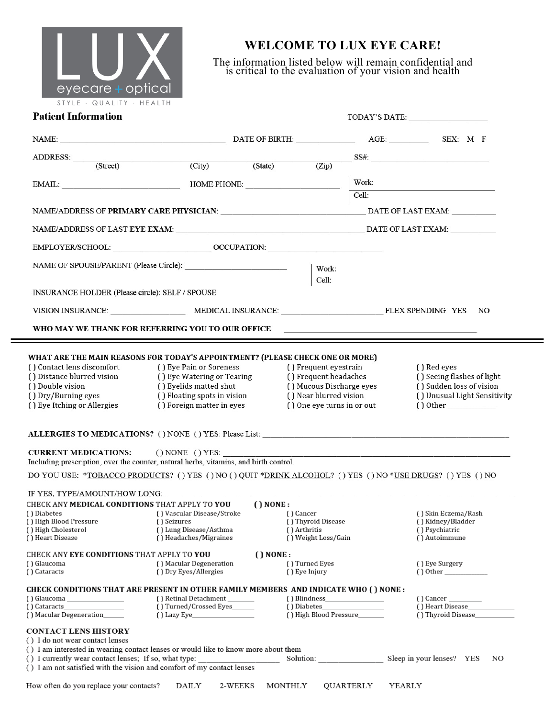

## **WELCOME TO LUX EYE CARE!**

The information listed below will remain confidential and is critical to the evaluation of your vision and health

| <b>Patient Information</b> |  |
|----------------------------|--|
|                            |  |

| <b>Patient Information</b>                                                                                |                                                           |                           |                                                                                 |             |                                                          |    |  |
|-----------------------------------------------------------------------------------------------------------|-----------------------------------------------------------|---------------------------|---------------------------------------------------------------------------------|-------------|----------------------------------------------------------|----|--|
|                                                                                                           |                                                           | NAME: SEX: M F            |                                                                                 |             |                                                          |    |  |
| ADDRESS:                                                                                                  |                                                           |                           |                                                                                 |             | $SS#$ : $SS#$ : $\qquad \qquad$                          |    |  |
| (Street)                                                                                                  | (City)                                                    | (State)                   | (Zip)                                                                           |             |                                                          |    |  |
|                                                                                                           | EMAIL: HOME PHONE:                                        |                           |                                                                                 | Work:       |                                                          |    |  |
|                                                                                                           |                                                           |                           |                                                                                 | Cell:       |                                                          |    |  |
|                                                                                                           |                                                           |                           |                                                                                 |             |                                                          |    |  |
|                                                                                                           |                                                           |                           |                                                                                 |             |                                                          |    |  |
|                                                                                                           |                                                           |                           |                                                                                 |             |                                                          |    |  |
|                                                                                                           |                                                           |                           |                                                                                 |             |                                                          |    |  |
|                                                                                                           |                                                           |                           | Work:                                                                           |             |                                                          |    |  |
|                                                                                                           |                                                           |                           | Cell:                                                                           |             |                                                          |    |  |
| INSURANCE HOLDER (Please circle): SELF / SPOUSE                                                           |                                                           |                           |                                                                                 |             |                                                          |    |  |
|                                                                                                           | VISION INSURANCE: MEDICAL INSURANCE: FLEX SPENDING YES NO |                           |                                                                                 |             |                                                          |    |  |
|                                                                                                           |                                                           |                           |                                                                                 |             |                                                          |    |  |
|                                                                                                           | WHO MAY WE THANK FOR REFERRING YOU TO OUR OFFICE          |                           |                                                                                 |             |                                                          |    |  |
|                                                                                                           |                                                           |                           |                                                                                 |             |                                                          |    |  |
| WHAT ARE THE MAIN REASONS FOR TODAY'S APPOINTMENT? (PLEASE CHECK ONE OR MORE)                             |                                                           |                           |                                                                                 |             |                                                          |    |  |
| () Contact lens discomfort                                                                                | () Eye Pain or Soreness                                   |                           | () Frequent eyestrain                                                           | () Red eyes |                                                          |    |  |
| ( ) Distance blurred vision                                                                               | ( ) Eye Watering or Tearing                               |                           | () Frequent headaches<br>() Seeing flashes of light<br>() Mucous Discharge eyes |             |                                                          |    |  |
| () Double vision<br>() Dry/Burning eyes                                                                   | () Eyelids matted shut<br>() Floating spots in vision     |                           | () Near blurred vision                                                          |             | () Sudden loss of vision<br>() Unusual Light Sensitivity |    |  |
| () Eye Itching or Allergies                                                                               | () Foreign matter in eyes                                 |                           | () One eye turns in or out                                                      |             |                                                          |    |  |
|                                                                                                           |                                                           |                           |                                                                                 |             |                                                          |    |  |
| ALLERGIES TO MEDICATIONS? () NONE () YES: Please List:                                                    |                                                           |                           |                                                                                 |             |                                                          |    |  |
| <b>CURRENT MEDICATIONS:</b>                                                                               | $()$ NONE $()$ YES:                                       |                           |                                                                                 |             |                                                          |    |  |
| Including prescription, over the counter, natural herbs, vitamins, and birth control.                     |                                                           |                           |                                                                                 |             |                                                          |    |  |
| DO YOU USE: *TOBACCO PRODUCTS? () YES () NO () QUIT *DRINK ALCOHOL? () YES () NO *USE DRUGS? () YES () NO |                                                           |                           |                                                                                 |             |                                                          |    |  |
|                                                                                                           |                                                           |                           |                                                                                 |             |                                                          |    |  |
| IF YES. TYPE/AMOUNT/HOW LONG:                                                                             |                                                           |                           |                                                                                 |             |                                                          |    |  |
| CHECK ANY <b>MEDICAL CONDITIONS</b> THAT APPLY TO <b>YOU</b><br>() Diabetes                               | () Vascular Disease/Stroke                                | $( )$ NONE :<br>() Cancer |                                                                                 |             | () Skin Eczema/Rash                                      |    |  |
| () High Blood Pressure                                                                                    | () Seizures                                               |                           | () Thyroid Disease                                                              |             | () Kidney/Bladder                                        |    |  |
| () High Cholesterol                                                                                       | () Lung Disease/Asthma                                    | () Arthritis              |                                                                                 |             | () Psychiatric                                           |    |  |
| () Heart Disease                                                                                          | () Headaches/Migraines                                    |                           | () Weight Loss/Gain                                                             |             | () Autoimmune                                            |    |  |
| <b>CHECK ANY EYE CONDITIONS THAT APPLY TO YOU</b>                                                         |                                                           | $( )$ NONE :              |                                                                                 |             |                                                          |    |  |
| () Glaucoma                                                                                               | () Macular Degeneration                                   |                           | () Turned Eyes                                                                  |             | () Eye Surgery                                           |    |  |
| () Cataracts                                                                                              | () Dry Eyes/Allergies                                     |                           | () Eye Injury                                                                   |             |                                                          |    |  |
| CHECK CONDITIONS THAT ARE PRESENT IN OTHER FAMILY MEMBERS AND INDICATE WHO ( ) NONE :                     |                                                           |                           |                                                                                 |             |                                                          |    |  |
|                                                                                                           | () Retinal Detachment                                     |                           |                                                                                 |             |                                                          |    |  |
| $\int$ ) Cataracts                                                                                        | () Turned/Crossed Eyes_______                             |                           | () Diabetes                                                                     |             | () Heart Disease                                         |    |  |
| () Macular Degeneration                                                                                   | $( )$ Lazy Eye                                            |                           | () High Blood Pressure                                                          |             | () Thyroid Disease                                       |    |  |
| <b>CONTACT LENS HISTORY</b>                                                                               |                                                           |                           |                                                                                 |             |                                                          |    |  |
| () I do not wear contact lenses                                                                           |                                                           |                           |                                                                                 |             |                                                          |    |  |
| () I am interested in wearing contact lenses or would like to know more about them                        |                                                           |                           |                                                                                 |             |                                                          |    |  |
| () I currently wear contact lenses; If so, what type:                                                     |                                                           |                           | Solution:                                                                       |             | Sleep in your lenses? YES                                | NO |  |
| () I am not satisfied with the vision and comfort of my contact lenses                                    |                                                           |                           |                                                                                 |             |                                                          |    |  |